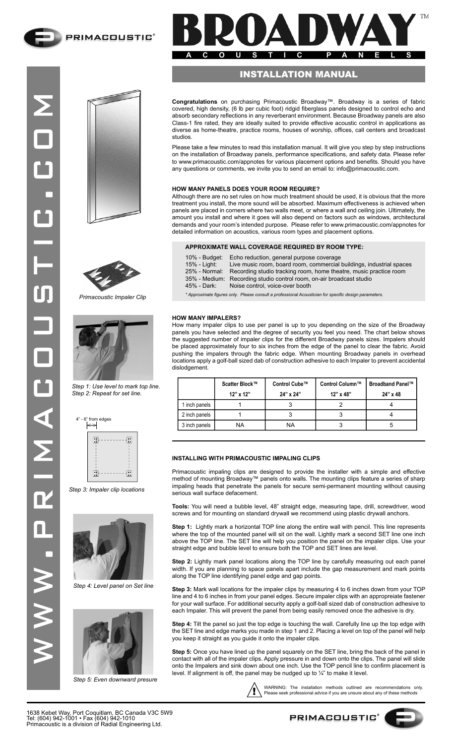





*Primacoustic Impaler Clip*



*Step 1: Use level to mark top line. Step 2: Repeat for set line.*

 $\left\vert \Longleftrightarrow \right\vert$ 



*Step 3: Impaler clip locations*



*Step 4: Level panel on Set line*



*Step 5: Even downward presure*



## INSTALLATION MANUAL

**Congratulations** on purchasing Primacoustic Broadway™. Broadway is a series of fabric covered, high density, (6 lb per cubic foot) ridgid fiberglass panels designed to control echo and absorb secondary reflections in any reverberant environment. Because Broadway panels are also Class-1 fire rated, they are ideally suited to provide effective acoustic control in applications as diverse as home-theatre, practice rooms, houses of worship, offices, call centers and broadcast studios.

Please take a few minutes to read this installation manual. It will give you step by step instructions on the installation of Broadway panels, performance specifications, and safety data. Please refer to www.primacoustic.com/appnotes for various placement options and benefits. Should you have any questions or comments, we invite you to send an email to: info@primacoustic.com.

## **HOW MANY PANELS DOES YOUR ROOM REQUIRE?**

Although there are no set rules on how much treatment should be used, it is obvious that the more treatment you install, the more sound will be absorbed. Maximum effectiveness is achieved when panels are placed in corners where two walls meet, or where a wall and ceiling join. Ultimately, the amount you install and where it goes will also depend on factors such as windows, architectural demands and your room's intended purpose. Please refer to www.primacoustic.com/appnotes for detailed information on acoustics, various room types and placement options.

#### **APPROXIMATE WALL COVERAGE REQUIRED BY ROOM TYPE:**

Approximate figures only. Please consult a professional Acoustician for specific design parameters.

#### **HOW MANY IMPALERS?**

How many impaler clips to use per panel is up to you depending on the size of the Broadway panels you have selected and the degree of security you feel you need. The chart below shows the suggested number of impaler clips for the different Broadway panels sizes. Impalers should be placed approximately four to six inches from the edge of the panel to clear the fabric. Avoid pushing the impalers through the fabric edge. When mounting Broadway panels in overhead locations apply a golf-ball sized dab of construction adhesive to each Impaler to prevent accidental dislodgement.

|               | Scatter Block™<br>12" x 12" | Control Cube™<br>24" x 24" | Control Column™<br>$12" \times 48"$ | <b>Broadband Panel™</b><br>24" x 48 |  |  |
|---------------|-----------------------------|----------------------------|-------------------------------------|-------------------------------------|--|--|
| 1 inch panels |                             |                            |                                     |                                     |  |  |
| 2 inch panels |                             |                            |                                     |                                     |  |  |
| 3 inch panels | NA                          | NA                         |                                     |                                     |  |  |

#### **INSTALLING WITH PRIMACOUSTIC IMPALING CLIPS**

Primacoustic impaling clips are designed to provide the installer with a simple and effective method of mounting Broadway™ panels onto walls. The mounting clips feature a series of sharp impaling heads that penetrate the panels for secure semi-permanent mounting without causing serious wall surface defacement.

**Tools:** You will need a bubble level, 48" straight edge, measuring tape, drill, screwdriver, wood screws and for mounting on standard drywall we recommend using plastic drywall anchors.

**Step 1:** Lightly mark a horizontal TOP line along the entire wall with pencil. This line represents where the top of the mounted panel will sit on the wall. Lightly mark a second SET line one inch above the TOP line. The SET line will help you position the panel on the impaler clips. Use your straight edge and bubble level to ensure both the TOP and SET lines are level.

**Step 2:** Lightly mark panel locations along the TOP line by carefully measuring out each panel width. If you are planning to space panels apart include the gap measurement and mark points along the TOP line identifying panel edge and gap points.

**Step 3:** Mark wall locations for the impaler clips by measuring 4 to 6 inches down from your TOP line and 4 to 6 inches in from your panel edges. Secure impaler clips with an appropreiate fastener for your wall surface. For additional security apply a golf-ball sized dab of construction adhesive to each Impaler. This will prevent the panel from being easily removed once the adhesive is dry.

**Step 4:** Tilt the panel so just the top edge is touching the wall. Carefully line up the top edge with the SET line and edge marks you made in step 1 and 2. Placing a level on top of the panel will help you keep it straight as you guide it onto the impaler clips.

**Step 5:** Once you have lined up the panel squarely on the SET line, bring the back of the panel in contact with all of the impaler clips. Apply pressure in and down onto the clips. The panel will slide onto the Impalers and sink down about one inch. Use the TOP pencil line to confirm placement is level. If alignment is off, the panel may be nudged up to ¼" to make it level.